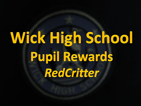# **Wick High School Pupil Rewards** RedCritter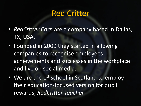#### Red Critter

- *RedCritter Corp* are a company based in Dallas, TX, USA.
- Founded in 2009 they started in allowing companies to recognise employees achievements and successes in the workplace and live on social media.
- We are the  $1^{st}$  school in Scotland to employ their education-focused version for pupil rewards, *RedCritter Teacher.*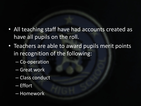- All teaching staff have had accounts created as have all pupils on the roll.
- Teachers are able to award pupils merit points in recognition of the following:
	- Co-operation
	- Great work
	- Class conduct
	- Effort
	- Homework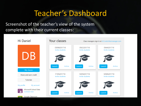## Teacher's Dashboard

Screenshot of the teacher's view of the system complete with their current classes:

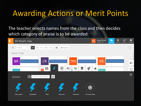### Awarding Actions or Merit Points

#### The teacher selects names from the class and then decides which category of praise is to be awarded:

| f. | Mr Brazil's class    |                                  |                                 |                                            |           | DB                             | <b>Daniel Brazil</b><br><b>DENN201718</b> | <b>in</b><br>Manage | 潦<br>Idea Lab | $\boldsymbol{\mathcal{N}}$<br>Reports | ۰<br>Settings |
|----|----------------------|----------------------------------|---------------------------------|--------------------------------------------|-----------|--------------------------------|-------------------------------------------|---------------------|---------------|---------------------------------------|---------------|
| ш  | Search               | $\alpha$<br>AII                  | $A-E$ $F-J$ $K-Q$ $R-Z$         | 器<br>$+$ Student                           |           |                                |                                           |                     |               |                                       |               |
|    | Students (17)        |                                  |                                 |                                            |           |                                |                                           |                     |               |                                       |               |
|    | <b>BR</b>            |                                  | <b>CR</b>                       |                                            | <b>DN</b> |                                | <b>DS</b>                                 |                     |               |                                       | 袒             |
|    |                      |                                  | 目                               | $\circledcirc$<br>$\overline{\phantom{a}}$ | 戸         | $\mathbb{C}$ )<br>$\mathbf{t}$ |                                           |                     |               |                                       | $\odot$       |
|    | Actions              | $\mathsf{All}$<br>$A-E$<br>$F-J$ | $\mathbf{C}$<br>$R-Z$<br>$K$ -Q |                                            |           |                                |                                           |                     |               |                                       | $\ltimes$     |
|    |                      |                                  |                                 |                                            |           | Ð                              |                                           |                     |               |                                       |               |
|    | <b>Class conduct</b> | Cooperation                      | <b>Effort</b>                   | <b>Great work</b>                          | Homework  | Get more actions               |                                           |                     |               |                                       |               |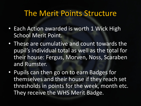#### The Merit Points Structure

- Each Action awarded is worth 1 Wick High School Merit Point.
- These are cumulative and count towards the pupil's individual total as well as the total for their house: Fergus, Morven, Noss, Scaraben and Rumster.
- Pupils can then go on to earn Badges for themselves and their house if they reach set thresholds in points for the week, month etc. They receive the WHS Merit Badge.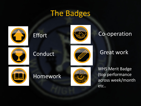#### The Badges







#### Co-operation





Conduct Great work



Homework



WHS Merit Badge (top performance across week/month etc..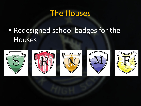### The Houses

• Redesigned school badges for the Houses:









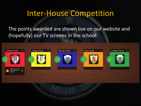#### Inter-House Competition

The points awarded are shown live on our website and (hopefully) our TV screens in the school: